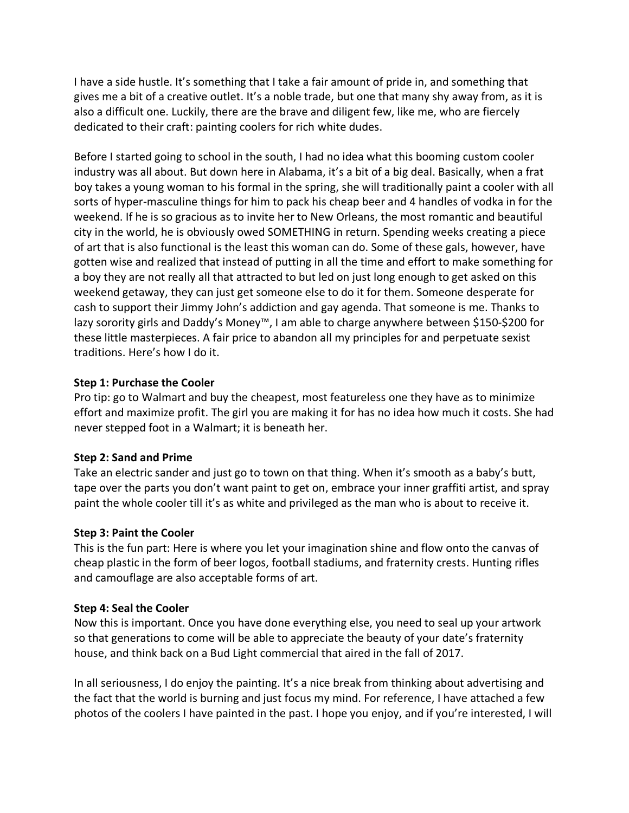I have a side hustle. It's something that I take a fair amount of pride in, and something that gives me a bit of a creative outlet. It's a noble trade, but one that many shy away from, as it is also a difficult one. Luckily, there are the brave and diligent few, like me, who are fiercely dedicated to their craft: painting coolers for rich white dudes.

Before I started going to school in the south, I had no idea what this booming custom cooler industry was all about. But down here in Alabama, it's a bit of a big deal. Basically, when a frat boy takes a young woman to his formal in the spring, she will traditionally paint a cooler with all sorts of hyper-masculine things for him to pack his cheap beer and 4 handles of vodka in for the weekend. If he is so gracious as to invite her to New Orleans, the most romantic and beautiful city in the world, he is obviously owed SOMETHING in return. Spending weeks creating a piece of art that is also functional is the least this woman can do. Some of these gals, however, have gotten wise and realized that instead of putting in all the time and effort to make something for a boy they are not really all that attracted to but led on just long enough to get asked on this weekend getaway, they can just get someone else to do it for them. Someone desperate for cash to support their Jimmy John's addiction and gay agenda. That someone is me. Thanks to lazy sorority girls and Daddy's Money™, I am able to charge anywhere between \$150-\$200 for these little masterpieces. A fair price to abandon all my principles for and perpetuate sexist traditions. Here's how I do it.

## **Step 1: Purchase the Cooler**

Pro tip: go to Walmart and buy the cheapest, most featureless one they have as to minimize effort and maximize profit. The girl you are making it for has no idea how much it costs. She had never stepped foot in a Walmart; it is beneath her.

## **Step 2: Sand and Prime**

Take an electric sander and just go to town on that thing. When it's smooth as a baby's butt, tape over the parts you don't want paint to get on, embrace your inner graffiti artist, and spray paint the whole cooler till it's as white and privileged as the man who is about to receive it.

## **Step 3: Paint the Cooler**

This is the fun part: Here is where you let your imagination shine and flow onto the canvas of cheap plastic in the form of beer logos, football stadiums, and fraternity crests. Hunting rifles and camouflage are also acceptable forms of art.

## **Step 4: Seal the Cooler**

Now this is important. Once you have done everything else, you need to seal up your artwork so that generations to come will be able to appreciate the beauty of your date's fraternity house, and think back on a Bud Light commercial that aired in the fall of 2017.

In all seriousness, I do enjoy the painting. It's a nice break from thinking about advertising and the fact that the world is burning and just focus my mind. For reference, I have attached a few photos of the coolers I have painted in the past. I hope you enjoy, and if you're interested, I will